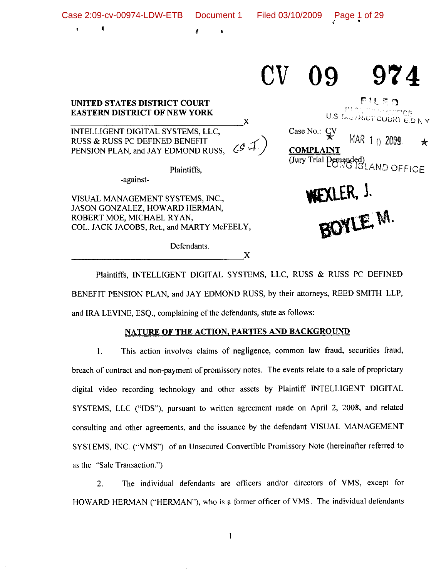Case 2:09-cv-00974-LDW-ETB

ţ

 $\boldsymbol{X}$ 

# 974 09

# UNITED STATES DISTRICT COURT **EASTERN DISTRICT OF NEW YORK**

INTELLIGENT DIGITAL SYSTEMS, LLC, RUSS & RUSS PC DEFINED BENEFIT ( . کمه دی PENSION PLAN, and JAY EDMOND RUSS,

Plaintiffs,

-against-

VISUAL MANAGEMENT SYSTEMS, INC., JASON GONZALEZ, HOWARD HERMAN, ROBERT MOE, MICHAEL RYAN, COL. JACK JACOBS, Ret., and MARTY McFEELY,

Defendants.

Case No.: CV MAR 1 0 2009 **COMPLAINT** Unit Leonarded)<br>(Jury Trial Demanded)<br>ISLAND OFFICE BOYLE M.

FILED

U.S. L.S. IRICT COURTED N.Y

★

Plaintiffs, INTELLIGENT DIGITAL SYSTEMS, LLC, RUSS & RUSS PC DEFINED BENEFIT PENSION PLAN, and JAY EDMOND RUSS, by their attorneys, REED SMITH LLP, and IRA LEVINE, ESQ., complaining of the defendants, state as follows:

X

# NATURE OF THE ACTION, PARTIES AND BACKGROUND

This action involves claims of negligence, common law fraud, securities fraud,  $1<sub>1</sub>$ breach of contract and non-payment of promissory notes. The events relate to a sale of proprietary digital video recording technology and other assets by Plaintiff INTELLIGENT DIGITAL SYSTEMS, LLC ("IDS"), pursuant to written agreement made on April 2, 2008, and related consulting and other agreements, and the issuance by the defendant VISUAL MANAGEMENT SYSTEMS, INC. ("VMS") of an Unsecured Convertible Promissory Note (hereinafter referred to as the "Sale Transaction.")

The individual defendants are officers and/or directors of VMS, except for  $2.$ HOWARD HERMAN ("HERMAN"), who is a former officer of VMS. The individual defendants

 $\mathbf{1}$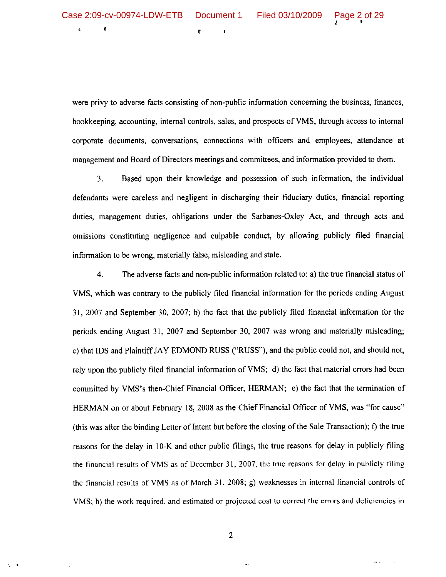È

List of

were privy to adverse facts consisting of non-public information concerning the business, finances, bookkeeping, accounting, internal controls, sales, and prospects of VMS, through access to internal corporate documents, conversations, connections with officers and employees, attendance at management and Board of Directors meetings and committees, and information provided to them.

Based upon their knowledge and possession of such information, the individual  $3.$ defendants were careless and negligent in discharging their fiduciary duties, financial reporting duties, management duties, obligations under the Sarbanes-Oxley Act, and through acts and omissions constituting negligence and culpable conduct, by allowing publicly filed financial information to be wrong, materially false, misleading and stale.

The adverse facts and non-public information related to: a) the true financial status of  $\overline{4}$ . VMS, which was contrary to the publicly filed financial information for the periods ending August 31, 2007 and September 30, 2007; b) the fact that the publicly filed financial information for the periods ending August 31, 2007 and September 30, 2007 was wrong and materially misleading; c) that IDS and Plaintiff JAY EDMOND RUSS ("RUSS"), and the public could not, and should not, rely upon the publicly filed financial information of VMS; d) the fact that material errors had been committed by VMS's then-Chief Financial Officer, HERMAN; e) the fact that the termination of HERMAN on or about February 18, 2008 as the Chief Financial Officer of VMS, was "for cause" (this was after the binding Letter of Intent but before the closing of the Sale Transaction); f) the true reasons for the delay in 10-K and other public filings, the true reasons for delay in publicly filing the financial results of VMS as of December 31, 2007, the true reasons for delay in publicly filing the financial results of VMS as of March 31, 2008; g) weaknesses in internal financial controls of VMS; h) the work required, and estimated or projected cost to correct the errors and deficiencies in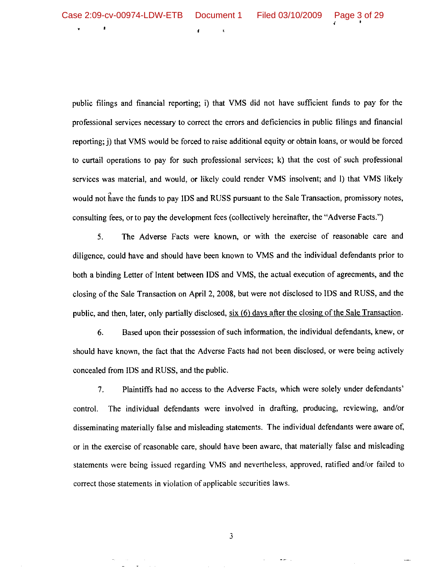$\mathbf{t}$ 

public filings and financial reporting; i) that VMS did not have sufficient funds to pay for the professional services necessary to correct the errors and deficiencies in public filings and financial reporting; i) that VMS would be forced to raise additional equity or obtain loans, or would be forced to curtail operations to pay for such professional services; k) that the cost of such professional services was material, and would, or likely could render VMS insolvent; and I) that VMS likely would not have the funds to pay IDS and RUSS pursuant to the Sale Transaction, promissory notes, consulting fees, or to pay the development fees (collectively hereinafter, the "Adverse Facts.")

5. The Adverse Facts were known, or with the exercise of reasonable care and diligence, could have and should have been known to VMS and the individual defendants prior to both a binding Letter of Intent between IDS and VMS, the actual execution of agreements, and the closing of the Sale Transaction on April 2, 2008, but were not disclosed to IDS and RUSS, and the public, and then, later, only partially disclosed, six (6) days after the closing of the Sale Transaction.

Based upon their possession of such information, the individual defendants, knew, or 6. should have known, the fact that the Adverse Facts had not been disclosed, or were being actively concealed from IDS and RUSS, and the public.

 $7.$ Plaintiffs had no access to the Adverse Facts, which were solely under defendants' control. The individual defendants were involved in drafting, producing, reviewing, and/or disseminating materially false and misleading statements. The individual defendants were aware of, or in the exercise of reasonable care, should have been aware, that materially false and misleading statements were being issued regarding VMS and nevertheless, approved, ratified and/or failed to correct those statements in violation of applicable securities laws.

3

 $\frac{1}{2}$  and  $\frac{1}{2}$  .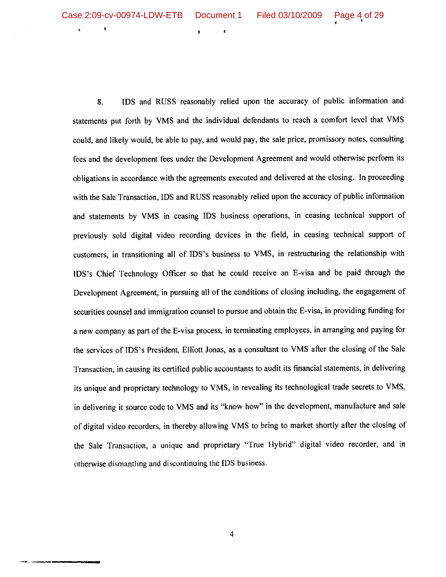$\pmb{\delta}$ 

8. IDS and RUSS reasonably relied upon the accuracy of public information and statements put forth by VMS and the individual defendants to reach a comfort level that VMS could, and likely would, be able to pay, and would pay, the sale price, promissory notes, consulting fees and the development fees under the Development Agreement and would otherwise perform its obligations in accordance with the agreements executed and delivered at the closing. In proceeding with the Sale Transaction, IDS and RUSS reasonably relied upon the accuracy of public information and statements by VMS in ceasing IDS business operations, in ceasing technical support of previously sold digital video recording devices in the field, in ceasing technical support of customers, in transitioning all of IDS's business to VMS, in restructuring the relationship with IDS's Chief Technology Officer so that he could receive an E-visa and be paid through the Development Agreement, in pursuing all of the conditions of closing including, the engagement of securities counsel and immigration counsel to pursue and obtain the E-visa, in providing funding for a new company as part of the E-visa process, in terminating employees, in arranging and paying for the services of IDS's President, Elliott Jonas, as a consultant to VMS after the closing of the Sale Transaction, in causing its certified public accountants to audit its financial statements, in delivering its unique and proprietary technology to VMS, in revealing its technological trade secrets to VMS, in delivering it source code to VMS and its "know how" in the development, manufacture and sale of digital video recorders, in thereby allowing VMS to bring to market shortly after the closing of the Sale Transaction, a unique and proprietary "True Hybrid" digital video recorder, and in otherwise dismantling and discontinuing the IDS business.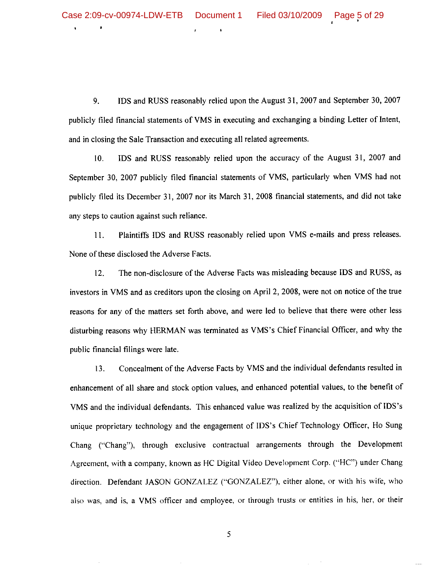$\ddot{\phantom{a}}$ 

9. IDS and RUSS reasonably relied upon the August 31, 2007 and September 30, 2007 publicly filed financial statements of VMS in executing and exchanging a binding Letter of Intent, and in closing the Sale Transaction and executing all related agreements.

IDS and RUSS reasonably relied upon the accuracy of the August 31, 2007 and  $10.$ September 30, 2007 publicly filed financial statements of VMS, particularly when VMS had not publicly filed its December 31, 2007 nor its March 31, 2008 financial statements, and did not take any steps to caution against such reliance.

Plaintiffs IDS and RUSS reasonably relied upon VMS e-mails and press releases.  $11.$ None of these disclosed the Adverse Facts.

The non-disclosure of the Adverse Facts was misleading because IDS and RUSS, as 12. investors in VMS and as creditors upon the closing on April 2, 2008, were not on notice of the true reasons for any of the matters set forth above, and were led to believe that there were other less disturbing reasons why HERMAN was terminated as VMS's Chief Financial Officer, and why the public financial filings were late.

13. Concealment of the Adverse Facts by VMS and the individual defendants resulted in enhancement of all share and stock option values, and enhanced potential values, to the benefit of VMS and the individual defendants. This enhanced value was realized by the acquisition of IDS's unique proprietary technology and the engagement of IDS's Chief Technology Officer, Ho Sung Chang ("Chang"), through exclusive contractual arrangements through the Development Agreement, with a company, known as HC Digital Video Development Corp. ("HC") under Chang direction. Defendant JASON GONZALEZ ("GONZALEZ"), either alone, or with his wife, who also was, and is, a VMS officer and employee, or through trusts or entities in his, her, or their

5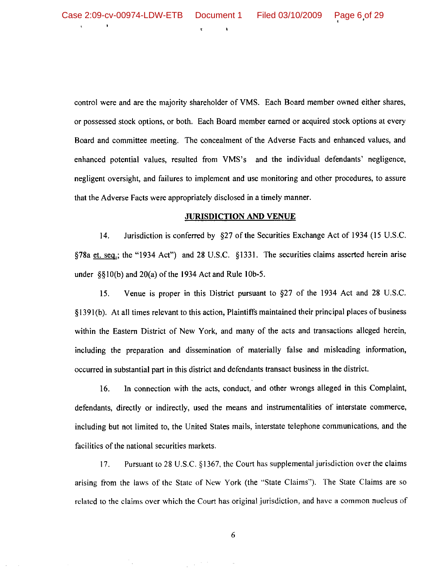control were and are the majority shareholder of VMS. Each Board member owned either shares, or possessed stock options, or both. Each Board member earned or acquired stock options at every Board and committee meeting. The concealment of the Adverse Facts and enhanced values, and enhanced potential values, resulted from VMS's and the individual defendants' negligence, negligent oversight, and failures to implement and use monitoring and other procedures, to assure that the Adverse Facts were appropriately disclosed in a timely manner.

#### **JURISDICTION AND VENUE**

14. Jurisdiction is conferred by §27 of the Securities Exchange Act of 1934 (15 U.S.C. §78a et. seq.; the "1934 Act") and 28 U.S.C. §1331. The securities claims asserted herein arise under  $\S(10(b))$  and  $20(a)$  of the 1934 Act and Rule 10b-5.

Venue is proper in this District pursuant to  $\S27$  of the 1934 Act and 28 U.S.C. 15. §1391(b). At all times relevant to this action, Plaintiffs maintained their principal places of business within the Eastern District of New York, and many of the acts and transactions alleged herein, including the preparation and dissemination of materially false and misleading information, occurred in substantial part in this district and defendants transact business in the district.

16. In connection with the acts, conduct, and other wrongs alleged in this Complaint, defendants, directly or indirectly, used the means and instrumentalities of interstate commerce, including but not limited to, the United States mails, interstate telephone communications, and the facilities of the national securities markets.

Pursuant to 28 U.S.C. §1367, the Court has supplemental jurisdiction over the claims  $17<sub>1</sub>$ arising from the laws of the State of New York (the "State Claims"). The State Claims are so related to the claims over which the Court has original jurisdiction, and have a common nucleus of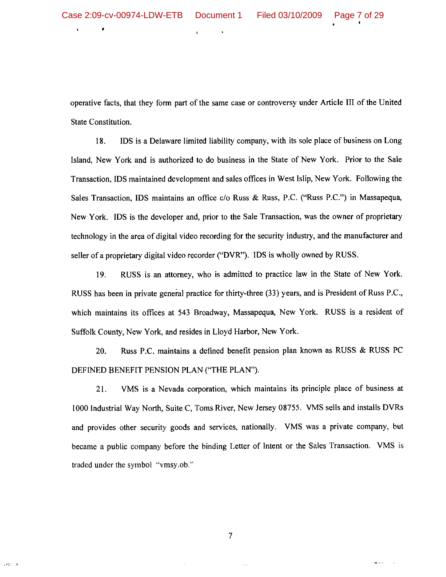operative facts, that they form part of the same case or controversy under Article III of the United State Constitution.

18. IDS is a Delaware limited liability company, with its sole place of business on Long Island, New York and is authorized to do business in the State of New York. Prior to the Sale Transaction, IDS maintained development and sales offices in West Islip, New York. Following the Sales Transaction, IDS maintains an office c/o Russ & Russ, P.C. ("Russ P.C.") in Massapequa, New York. IDS is the developer and, prior to the Sale Transaction, was the owner of proprietary technology in the area of digital video recording for the security industry, and the manufacturer and seller of a proprietary digital video recorder ("DVR"). IDS is wholly owned by RUSS.

RUSS is an attorney, who is admitted to practice law in the State of New York. 19. RUSS has been in private general practice for thirty-three (33) years, and is President of Russ P.C., which maintains its offices at 543 Broadway, Massapequa, New York. RUSS is a resident of Suffolk County, New York, and resides in Lloyd Harbor, New York.

Russ P.C. maintains a defined benefit pension plan known as RUSS & RUSS PC 20. DEFINED BENEFIT PENSION PLAN ("THE PLAN").

 $21.$ VMS is a Nevada corporation, which maintains its principle place of business at 1000 Industrial Way North, Suite C, Toms River, New Jersey 08755. VMS sells and installs DVRs and provides other security goods and services, nationally. VMS was a private company, but became a public company before the binding Letter of Intent or the Sales Transaction. VMS is traded under the symbol "vmsy.ob."

 $\overline{7}$ 

وأرجعي

 $\frac{1}{2}$  and  $\frac{1}{2}$  . In (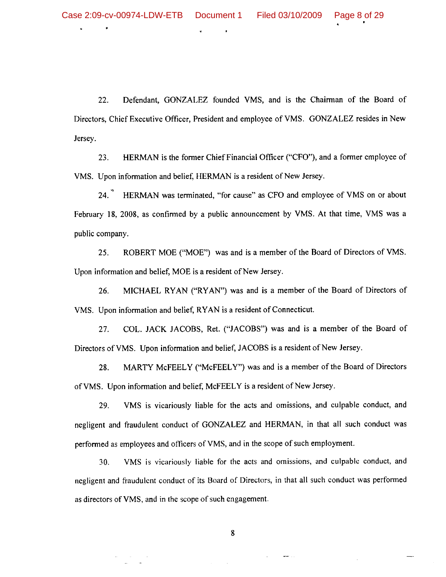Defendant, GONZALEZ founded VMS, and is the Chairman of the Board of 22. Directors, Chief Executive Officer, President and employee of VMS. GONZALEZ resides in New Jersey.

HERMAN is the former Chief Financial Officer ("CFO"), and a former employee of 23. VMS. Upon information and belief, HERMAN is a resident of New Jersey.

24. HERMAN was terminated, "for cause" as CFO and employee of VMS on or about February 18, 2008, as confirmed by a public announcement by VMS. At that time, VMS was a public company.

ROBERT MOE ("MOE") was and is a member of the Board of Directors of VMS. 25. Upon information and belief, MOE is a resident of New Jersey.

MICHAEL RYAN ("RYAN") was and is a member of the Board of Directors of 26. VMS. Upon information and belief, RYAN is a resident of Connecticut.

COL. JACK JACOBS, Ret. ("JACOBS") was and is a member of the Board of 27. Directors of VMS. Upon information and belief, JACOBS is a resident of New Jersey.

MARTY McFEELY ("McFEELY") was and is a member of the Board of Directors 28. of VMS. Upon information and belief, McFEELY is a resident of New Jersey.

29. VMS is vicariously liable for the acts and omissions, and culpable conduct, and negligent and fraudulent conduct of GONZALEZ and HERMAN, in that all such conduct was performed as employees and officers of VMS, and in the scope of such employment.

VMS is vicariously liable for the acts and omissions, and culpable conduct, and 30. negligent and fraudulent conduct of its Board of Directors, in that all such conduct was performed as directors of VMS, and in the scope of such engagement.

8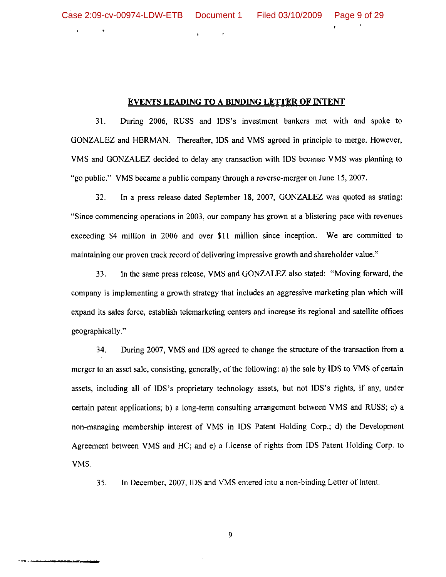$\bullet$ 

#### EVENTS LEADING TO A BINDING LETTER OF INTENT

31. During 2006, RUSS and IDS's investment bankers met with and spoke to GONZALEZ and HERMAN. Thereafter, IDS and VMS agreed in principle to merge. However, VMS and GONZALEZ decided to delay any transaction with IDS because VMS was planning to "go public." VMS became a public company through a reverse-merger on June 15, 2007.

32. In a press release dated September 18, 2007, GONZALEZ was quoted as stating: "Since commencing operations in 2003, our company has grown at a blistering pace with revenues exceeding \$4 million in 2006 and over \$11 million since inception. We are committed to maintaining our proven track record of delivering impressive growth and shareholder value."

33. In the same press release, VMS and GONZALEZ also stated: "Moving forward, the company is implementing a growth strategy that includes an aggressive marketing plan which will expand its sales force, establish telemarketing centers and increase its regional and satellite offices geographically."

During 2007, VMS and IDS agreed to change the structure of the transaction from a 34. merger to an asset sale, consisting, generally, of the following: a) the sale by IDS to VMS of certain assets, including all of IDS's proprietary technology assets, but not IDS's rights, if any, under certain patent applications; b) a long-term consulting arrangement between VMS and RUSS; c) a non-managing membership interest of VMS in IDS Patent Holding Corp.; d) the Development Agreement between VMS and HC; and e) a License of rights from IDS Patent Holding Corp. to VMS.

In December, 2007, IDS and VMS entered into a non-binding Letter of Intent. 35.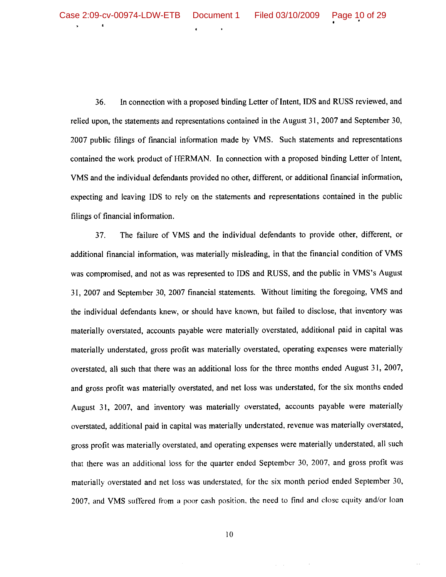36. In connection with a proposed binding Letter of Intent, IDS and RUSS reviewed, and relied upon, the statements and representations contained in the August 31, 2007 and September 30, 2007 public filings of financial information made by VMS. Such statements and representations contained the work product of HERMAN. In connection with a proposed binding Letter of Intent, VMS and the individual defendants provided no other, different, or additional financial information, expecting and leaving IDS to rely on the statements and representations contained in the public filings of financial information.

The failure of VMS and the individual defendants to provide other, different, or 37. additional financial information, was materially misleading, in that the financial condition of VMS was compromised, and not as was represented to IDS and RUSS, and the public in VMS's August 31, 2007 and September 30, 2007 financial statements. Without limiting the foregoing, VMS and the individual defendants knew, or should have known, but failed to disclose, that inventory was materially overstated, accounts payable were materially overstated, additional paid in capital was materially understated, gross profit was materially overstated, operating expenses were materially overstated, all such that there was an additional loss for the three months ended August 31, 2007, and gross profit was materially overstated, and net loss was understated, for the six months ended August 31, 2007, and inventory was materially overstated, accounts payable were materially overstated, additional paid in capital was materially understated, revenue was materially overstated, gross profit was materially overstated, and operating expenses were materially understated, all such that there was an additional loss for the quarter ended September 30, 2007, and gross profit was materially overstated and net loss was understated, for the six month period ended September 30, 2007, and VMS suffered from a poor cash position, the need to find and close equity and/or loan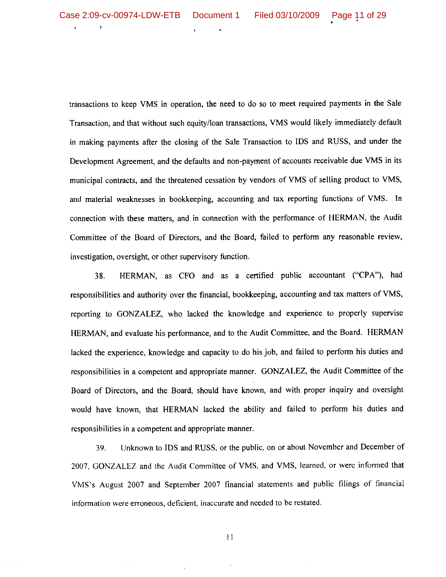$\mathbf{L}$ 

transactions to keep VMS in operation, the need to do so to meet required payments in the Sale Transaction, and that without such equity/loan transactions, VMS would likely immediately default in making payments after the closing of the Sale Transaction to IDS and RUSS, and under the Development Agreement, and the defaults and non-payment of accounts receivable due VMS in its municipal contracts, and the threatened cessation by vendors of VMS of selling product to VMS, and material weaknesses in bookkeeping, accounting and tax reporting functions of VMS. In connection with these matters, and in connection with the performance of HERMAN, the Audit Committee of the Board of Directors, and the Board, failed to perform any reasonable review, investigation, oversight, or other supervisory function.

HERMAN, as CFO and as a certified public accountant ("CPA"), had 38. responsibilities and authority over the financial, bookkeeping, accounting and tax matters of VMS, reporting to GONZALEZ, who lacked the knowledge and experience to properly supervise HERMAN, and evaluate his performance, and to the Audit Committee, and the Board. HERMAN lacked the experience, knowledge and capacity to do his job, and failed to perform his duties and responsibilities in a competent and appropriate manner. GONZALEZ, the Audit Committee of the Board of Directors, and the Board, should have known, and with proper inquiry and oversight would have known, that HERMAN lacked the ability and failed to perform his duties and responsibilities in a competent and appropriate manner.

Unknown to IDS and RUSS, or the public, on or about November and December of 39. 2007, GONZALEZ and the Audit Committee of VMS, and VMS, learned, or were informed that VMS's August 2007 and September 2007 financial statements and public filings of financial information were erroneous, deficient, inaccurate and needed to be restated.

 $11$ 

 $\sim$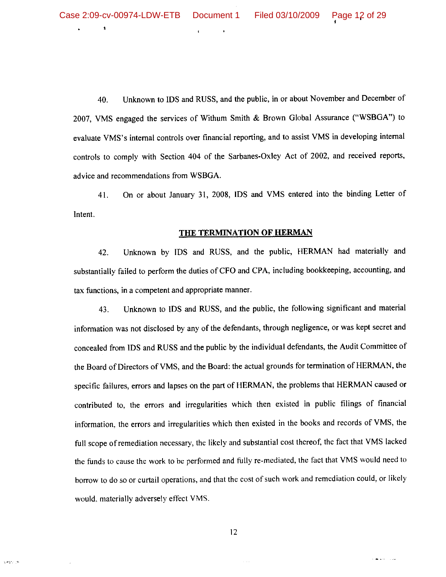$\pmb{\ast}$ 

cach ja

Unknown to IDS and RUSS, and the public, in or about November and December of 40. 2007, VMS engaged the services of Withum Smith & Brown Global Assurance ("WSBGA") to evaluate VMS's internal controls over financial reporting, and to assist VMS in developing internal controls to comply with Section 404 of the Sarbanes-Oxley Act of 2002, and received reports, advice and recommendations from WSBGA.

On or about January 31, 2008, IDS and VMS entered into the binding Letter of 41. Intent.

#### THE TERMINATION OF HERMAN

Unknown by IDS and RUSS, and the public, HERMAN had materially and 42. substantially failed to perform the duties of CFO and CPA, including bookkeeping, accounting, and tax functions, in a competent and appropriate manner.

Unknown to IDS and RUSS, and the public, the following significant and material 43. information was not disclosed by any of the defendants, through negligence, or was kept secret and concealed from IDS and RUSS and the public by the individual defendants, the Audit Committee of the Board of Directors of VMS, and the Board: the actual grounds for termination of HERMAN, the specific failures, errors and lapses on the part of HERMAN, the problems that HERMAN caused or contributed to, the errors and irregularities which then existed in public filings of financial information, the errors and irregularities which then existed in the books and records of VMS, the full scope of remediation necessary, the likely and substantial cost thereof, the fact that VMS lacked the funds to cause the work to be performed and fully re-mediated, the fact that VMS would need to borrow to do so or curtail operations, and that the cost of such work and remediation could, or likely would, materially adversely effect VMS.

**Contract Contract**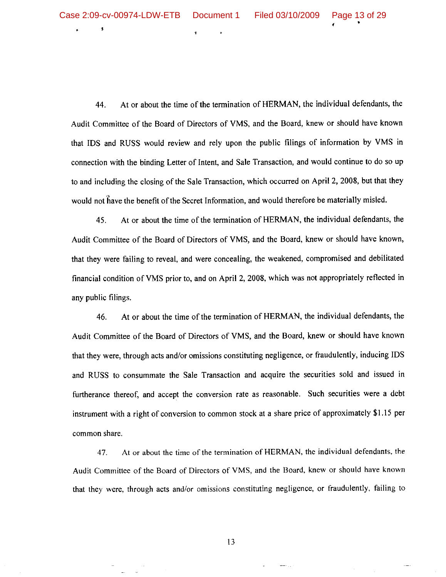1

44. At or about the time of the termination of HERMAN, the individual defendants, the Audit Committee of the Board of Directors of VMS, and the Board, knew or should have known that IDS and RUSS would review and rely upon the public filings of information by VMS in connection with the binding Letter of Intent, and Sale Transaction, and would continue to do so up to and including the closing of the Sale Transaction, which occurred on April 2, 2008, but that they would not have the benefit of the Secret Information, and would therefore be materially misled.

45. At or about the time of the termination of HERMAN, the individual defendants, the Audit Committee of the Board of Directors of VMS, and the Board, knew or should have known, that they were failing to reveal, and were concealing, the weakened, compromised and debilitated financial condition of VMS prior to, and on April 2, 2008, which was not appropriately reflected in any public filings.

At or about the time of the termination of HERMAN, the individual defendants, the 46. Audit Committee of the Board of Directors of VMS, and the Board, knew or should have known that they were, through acts and/or omissions constituting negligence, or fraudulently, inducing IDS and RUSS to consummate the Sale Transaction and acquire the securities sold and issued in furtherance thereof, and accept the conversion rate as reasonable. Such securities were a debt instrument with a right of conversion to common stock at a share price of approximately \$1.15 per common share.

At or about the time of the termination of HERMAN, the individual defendants, the 47. Audit Committee of the Board of Directors of VMS, and the Board, knew or should have known that they were, through acts and/or omissions constituting negligence, or fraudulently, failing to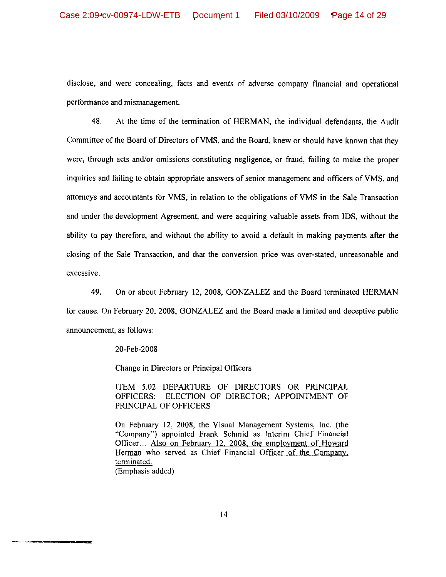disclose, and were concealing, facts and events of adverse company financial and operational performance and mismanagement.

48. At the time of the termination of HERMAN, the individual defendants, the Audit Committee of the Board of Directors of VMS, and the Board, knew or should have known that they were, through acts and/or omissions constituting negligence, or fraud, failing to make the proper inquiries and failing to obtain appropriate answers of senior management and officers of VMS, and attorneys and accountants for VMS, in relation to the obligations of VMS in the Sale Transaction and under the development Agreement, and were acquiring valuable assets from IDS, without the ability to pay therefore, and without the ability to avoid a default in making payments after the closing of the Sale Transaction, and that the conversion price was over-stated, unreasonable and excessive.

49. On or about February 12, 2008, GONZALEZ and the Board terminated HERMAN for cause. On February 20, 2008, GONZALEZ and the Board made a limited and deceptive public announcement, as follows:

20-Feb-2008

Change in Directors or Principal Officers

ITEM 5.02 DEPARTURE OF DIRECTORS OR PRINCIPAL OFFICERS; ELECTION OF DIRECTOR; APPOINTMENT OF PRINCIPAL OF OFFICERS

On February 12, 2008, the Visual Management Systems, Inc. (the "Company") appointed Frank Schmid as Interim Chief Financial Officer... Also on February 12, 2008, the employment of Howard Herman who served as Chief Financial Officer of the Company, terminated. (Emphasis added)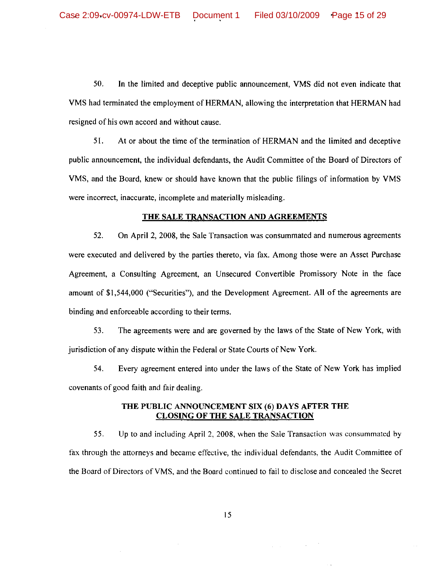50. In the limited and deceptive public announcement, VMS did not even indicate that VMS had terminated the employment of HERMAN, allowing the interpretation that HERMAN had resigned of his own accord and without cause.

51. At or about the time of the termination of HERMAN and the limited and deceptive public announcement, the individual defendants, the Audit Committee of the Board of Directors of VMS, and the Board, knew or should have known that the public filings of information by VMS were incorrect, inaccurate, incomplete and materially misleading.

## THE SALE TRANSACTION AND AGREEMENTS

52. On April 2, 2008, the Sale Transaction was consummated and numerous agreements were executed and delivered by the parties thereto, via fax. Among those were an Asset Purchase Agreement, a Consulting Agreement, an Unsecured Convertible Promissory Note in the face amount of \$1,544,000 ("Securities"), and the Development Agreement. All of the agreements are binding and enforceable according to their terms.

53. The agreements were and are governed by the laws of the State of New York, with jurisdiction of any dispute within the Federal or State Courts of New York.

54. Every agreement entered into under the laws of the State of New York has implied covenants of good faith and fair dealing.

## THE PUBLIC ANNOUNCEMENT SIX (6) DAYS AFTER THE **CLOSING OF THE SALE TRANSACTION**

55. Up to and including April 2, 2008, when the Sale Transaction was consummated by fax through the attorneys and became effective, the individual defendants, the Audit Committee of the Board of Directors of VMS, and the Board continued to fail to disclose and concealed the Secret

 $\mathcal{L}^{\mathcal{A}}(\mathcal{A})$  and  $\mathcal{L}^{\mathcal{A}}(\mathcal{A})$  and  $\mathcal{L}^{\mathcal{A}}(\mathcal{A})$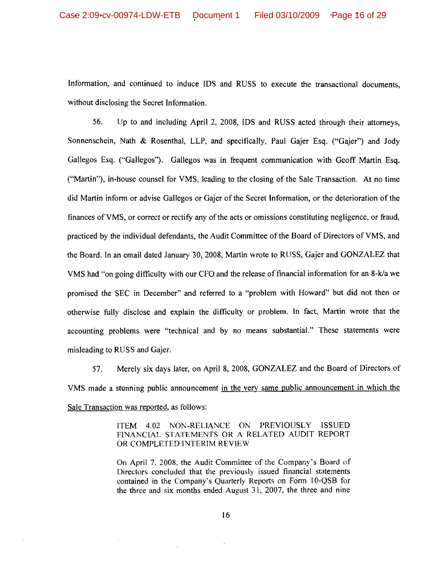Information, and continued to induce IDS and RUSS to execute the transactional documents, without disclosing the Secret Information.

56. Up to and including April 2, 2008, IDS and RUSS acted through their attorneys, Sonnenschein, Nath & Rosenthal, LLP, and specifically, Paul Gajer Esq. ("Gajer") and Jody Gallegos Esq. ("Gallegos"). Gallegos was in frequent communication with Geoff Martin Esq. ("Martin"), in-house counsel for VMS, leading to the closing of the Sale Transaction. At no time did Martin inform or advise Gallegos or Gaier of the Secret Information, or the deterioration of the finances of VMS, or correct or rectify any of the acts or omissions constituting negligence, or fraud, practiced by the individual defendants, the Audit Committee of the Board of Directors of VMS, and the Board. In an email dated January 30, 2008, Martin wrote to RUSS, Gajer and GONZALEZ that VMS had "on going difficulty with our CFO and the release of financial information for an 8-k/a we promised the SEC in December" and referred to a "problem with Howard" but did not then or otherwise fully disclose and explain the difficulty or problem. In fact, Martin wrote that the accounting problems were "technical and by no means substantial." These statements were misleading to RUSS and Gajer.

Merely six days later, on April 8, 2008, GONZALEZ and the Board of Directors of 57. VMS made a stunning public announcement in the very same public announcement in which the Sale Transaction was reported, as follows:

> ITEM 4.02 NON-RELIANCE ON PREVIOUSLY ISSUED FINANCIAL STATEMENTS OR A RELATED AUDIT REPORT OR COMPLETED INTERIM REVIEW

> On April 7, 2008, the Audit Committee of the Company's Board of Directors concluded that the previously issued financial statements contained in the Company's Quarterly Reports on Form 10-QSB for the three and six months ended August 31, 2007, the three and nine

 $\mathcal{L}(\mathbf{z})$  .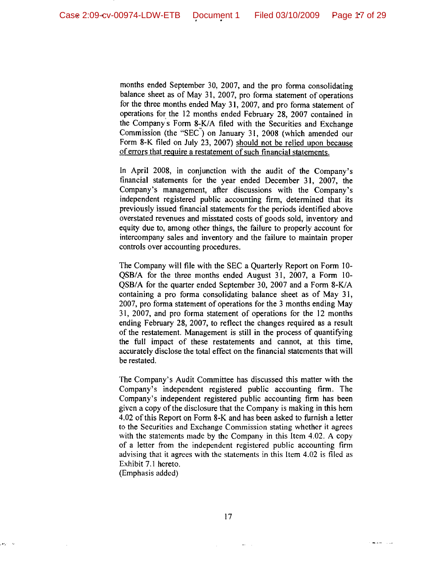months ended September 30, 2007, and the pro-forma consolidating balance sheet as of May 31, 2007, pro forma statement of operations for the three months ended May 31, 2007, and pro forma statement of operations for the 12 months ended February 28, 2007 contained in the Company's Form 8-K/A filed with the Securities and Exchange Commission (the "SEC") on January 31, 2008 (which amended our Form 8-K filed on July 23, 2007) should not be relied upon because of errors that require a restatement of such financial statements.

In April 2008, in conjunction with the audit of the Company's financial statements for the year ended December 31, 2007, the Company's management, after discussions with the Company's independent registered public accounting firm, determined that its previously issued financial statements for the periods identified above overstated revenues and misstated costs of goods sold, inventory and equity due to, among other things, the failure to properly account for intercompany sales and inventory and the failure to maintain proper controls over accounting procedures.

The Company will file with the SEC a Quarterly Report on Form 10-QSB/A for the three months ended August 31, 2007, a Form 10-QSB/A for the quarter ended September 30, 2007 and a Form 8-K/A containing a pro forma consolidating balance sheet as of May 31, 2007, pro forma statement of operations for the 3 months ending May 31, 2007, and pro forma statement of operations for the 12 months ending February 28, 2007, to reflect the changes required as a result of the restatement. Management is still in the process of quantifying the full impact of these restatements and cannot, at this time, accurately disclose the total effect on the financial statements that will be restated.

The Company's Audit Committee has discussed this matter with the Company's independent registered public accounting firm. The Company's independent registered public accounting firm has been given a copy of the disclosure that the Company is making in this hem 4.02 of this Report on Form 8-K and has been asked to furnish a letter to the Securities and Exchange Commission stating whether it agrees with the statements made by the Company in this Item 4.02. A copy of a letter from the independent registered public accounting firm advising that it agrees with the statements in this Item 4.02 is filed as Exhibit 7.1 hereto.

(Emphasis added)

 $\mathcal{M}^{\mathcal{A}}_{\mathcal{A}}=0$ 

منادر المعاملة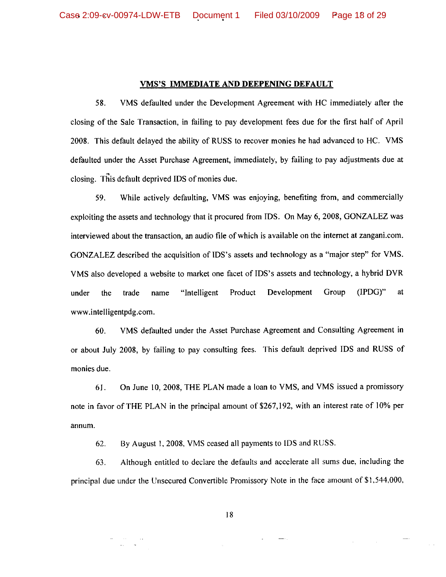#### **VMS'S IMMEDIATE AND DEEPENING DEFAULT**

VMS defaulted under the Development Agreement with HC immediately after the 58. closing of the Sale Transaction, in failing to pay development fees due for the first half of April 2008. This default delayed the ability of RUSS to recover monies he had advanced to HC. VMS defaulted under the Asset Purchase Agreement, immediately, by failing to pay adjustments due at closing. This default deprived IDS of monies due.

59. While actively defaulting, VMS was enjoying, benefiting from, and commercially exploiting the assets and technology that it procured from IDS. On May 6, 2008, GONZALEZ was interviewed about the transaction, an audio file of which is available on the internet at zangani.com. GONZALEZ described the acquisition of IDS's assets and technology as a "major step" for VMS. VMS also developed a website to market one facet of IDS's assets and technology, a hybrid DVR under the trade name "Intelligent Product Development Group  $(IPDG)$ " at www.intelligentpdg.com.

VMS defaulted under the Asset Purchase Agreement and Consulting Agreement in 60. or about July 2008, by failing to pay consulting fees. This default deprived IDS and RUSS of monies due.

On June 10, 2008, THE PLAN made a loan to VMS, and VMS issued a promissory 6I. note in favor of THE PLAN in the principal amount of \$267,192, with an interest rate of 10% per annum.

By August 1, 2008, VMS ceased all payments to IDS and RUSS. 62.

63. Although entitled to declare the defaults and accelerate all sums due, including the principal due under the Unsecured Convertible Promissory Note in the face amount of \$1,544,000,

 $\begin{array}{cc} 0.01 & 0.01 \\ 0.01 & 0.01 \\ \end{array}$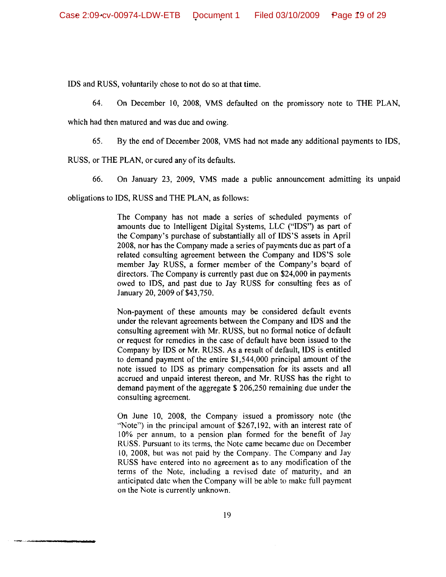IDS and RUSS, voluntarily chose to not do so at that time.

64. On December 10, 2008, VMS defaulted on the promissory note to THE PLAN,

which had then matured and was due and owing.

65. By the end of December 2008, VMS had not made any additional payments to IDS,

RUSS, or THE PLAN, or cured any of its defaults.

66. On January 23, 2009, VMS made a public announcement admitting its unpaid

obligations to IDS, RUSS and THE PLAN, as follows:

The Company has not made a series of scheduled payments of amounts due to Intelligent Digital Systems, LLC ("IDS") as part of the Company's purchase of substantially all of IDS'S assets in April 2008, nor has the Company made a series of payments due as part of a related consulting agreement between the Company and IDS'S sole member Jay RUSS, a former member of the Company's board of directors. The Company is currently past due on \$24,000 in payments owed to IDS, and past due to Jay RUSS for consulting fees as of January 20, 2009 of \$43,750.

Non-payment of these amounts may be considered default events under the relevant agreements between the Company and IDS and the consulting agreement with Mr. RUSS, but no formal notice of default or request for remedies in the case of default have been issued to the Company by IDS or Mr. RUSS. As a result of default, IDS is entitled to demand payment of the entire \$1,544,000 principal amount of the note issued to IDS as primary compensation for its assets and all accrued and unpaid interest thereon, and Mr. RUSS has the right to demand payment of the aggregate \$ 206,250 remaining due under the consulting agreement.

On June 10, 2008, the Company issued a promissory note (the "Note") in the principal amount of \$267,192, with an interest rate of 10% per annum, to a pension plan formed for the benefit of Jay RUSS. Pursuant to its terms, the Note came became due on December 10, 2008, but was not paid by the Company. The Company and Jay RUSS have entered into no agreement as to any modification of the terms of the Note, including a revised date of maturity, and an anticipated date when the Company will be able to make full payment on the Note is currently unknown.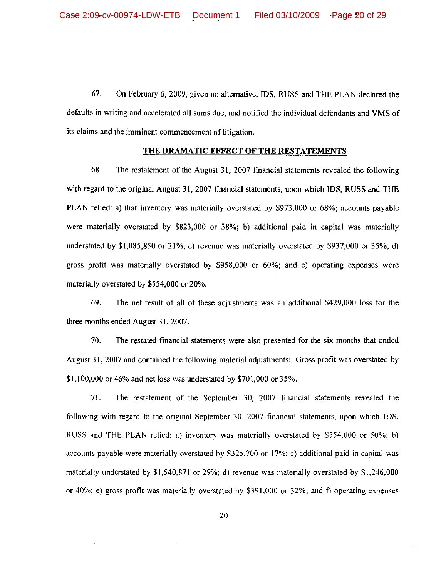67. On February 6, 2009, given no alternative, IDS, RUSS and THE PLAN declared the defaults in writing and accelerated all sums due, and notified the individual defendants and VMS of its claims and the imminent commencement of litigation.

#### **THE DRAMATIC EFFECT OF THE RESTATEMENTS**

68. The restatement of the August 31, 2007 financial statements revealed the following with regard to the original August 31, 2007 financial statements, upon which IDS, RUSS and THE PLAN relied: a) that inventory was materially overstated by \$973,000 or 68%; accounts payable were materially overstated by \$823,000 or 38%; b) additional paid in capital was materially understated by \$1,085,850 or 21%; c) revenue was materially overstated by \$937,000 or 35%; d) gross profit was materially overstated by \$958,000 or 60%; and e) operating expenses were materially overstated by \$554,000 or 20%.

69. The net result of all of these adjustments was an additional \$429,000 loss for the three months ended August 31, 2007.

70. The restated financial statements were also presented for the six months that ended August 31, 2007 and contained the following material adjustments: Gross profit was overstated by \$1,100,000 or 46% and net loss was understated by \$701,000 or 35%.

71. The restatement of the September 30, 2007 financial statements revealed the following with regard to the original September 30, 2007 financial statements, upon which IDS, RUSS and THE PLAN relied: a) inventory was materially overstated by \$554,000 or 50%; b) accounts payable were materially overstated by \$325,700 or 17%; c) additional paid in capital was materially understated by  $$1,540,871$  or 29%; d) revenue was materially overstated by  $$1,246,000$ or 40%; e) gross profit was materially overstated by \$391,000 or 32%; and f) operating expenses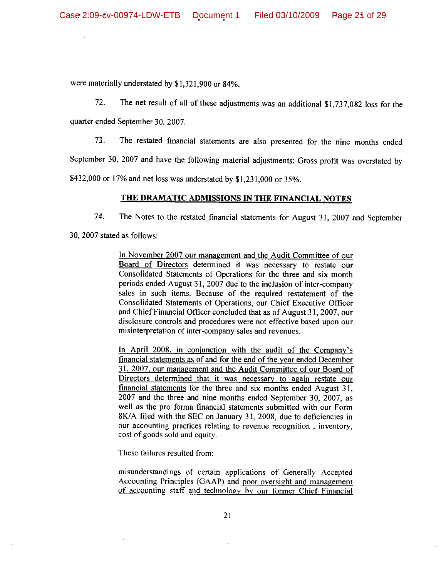were materially understated by \$1,321,900 or 84%.

72. The net result of all of these adjustments was an additional \$1,737,082 loss for the

quarter ended September 30, 2007.

73. The restated financial statements are also presented for the nine months ended

September 30, 2007 and have the following material adjustments: Gross profit was overstated by

\$432,000 or 17% and net loss was understated by \$1,231,000 or 35%.

## THE DRAMATIC ADMISSIONS IN THE FINANCIAL NOTES

74. The Notes to the restated financial statements for August 31, 2007 and September

30, 2007 stated as follows:

In November 2007 our management and the Audit Committee of our Board of Directors determined it was necessary to restate our Consolidated Statements of Operations for the three and six month periods ended August 31, 2007 due to the inclusion of inter-company sales in such items. Because of the required restatement of the Consolidated Statements of Operations, our Chief Executive Officer and Chief Financial Officer concluded that as of August 31, 2007, our disclosure controls and procedures were not effective based upon our misinterpretation of inter-company sales and revenues.

In April 2008, in conjunction with the audit of the Company's financial statements as of and for the end of the year ended December 31, 2007, our management and the Audit Committee of our Board of Directors determined that it was necessary to again restate our financial statements for the three and six months ended August 31, 2007 and the three and nine months ended September 30, 2007, as well as the pro forma financial statements submitted with our Form 8K/A filed with the SEC on January 31, 2008, due to deficiencies in our accounting practices relating to revenue recognition, inventory, cost of goods sold and equity.

These failures resulted from:

misunderstandings of certain applications of Generally Accepted Accounting Principles (GAAP) and poor oversight and management of accounting staff and technology by our former Chief Financial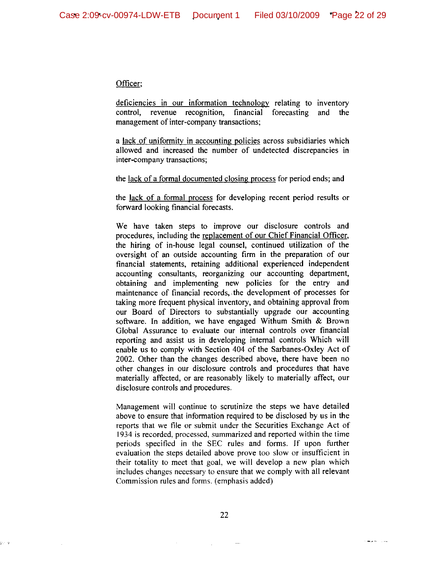#### Officer;

deficiencies in our information technology relating to inventory control, revenue recognition, financial forecasting and the management of inter-company transactions;

a lack of uniformity in accounting policies across subsidiaries which allowed and increased the number of undetected discrepancies in inter-company transactions;

the lack of a formal documented closing process for period ends; and

the lack of a formal process for developing recent period results or forward looking financial forecasts.

We have taken steps to improve our disclosure controls and procedures, including the replacement of our Chief Financial Officer, the hiring of in-house legal counsel, continued utilization of the oversight of an outside accounting firm in the preparation of our financial statements, retaining additional experienced independent accounting consultants, reorganizing our accounting department, obtaining and implementing new policies for the entry and maintenance of financial records, the development of processes for taking more frequent physical inventory, and obtaining approval from our Board of Directors to substantially upgrade our accounting software. In addition, we have engaged Withum Smith & Brown Global Assurance to evaluate our internal controls over financial reporting and assist us in developing internal controls Which will enable us to comply with Section 404 of the Sarbanes-Oxley Act of 2002. Other than the changes described above, there have been no other changes in our disclosure controls and procedures that have materially affected, or are reasonably likely to materially affect, our disclosure controls and procedures.

Management will continue to scrutinize the steps we have detailed above to ensure that information required to be disclosed by us in the reports that we file or submit under the Securities Exchange Act of 1934 is recorded, processed, summarized and reported within the time periods specified in the SEC rules and forms. If upon further evaluation the steps detailed above prove too slow or insufficient in their totality to meet that goal, we will develop a new plan which includes changes necessary to ensure that we comply with all relevant Commission rules and forms. (emphasis added)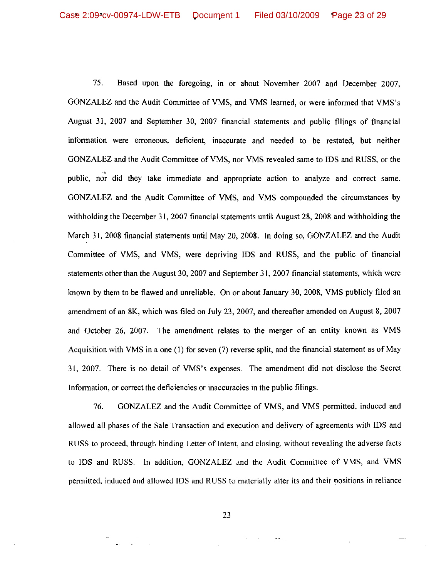75. Based upon the foregoing, in or about November 2007 and December 2007, GONZALEZ and the Audit Committee of VMS, and VMS learned, or were informed that VMS's August 31, 2007 and September 30, 2007 financial statements and public filings of financial information were erroneous, deficient, inaccurate and needed to be restated, but neither GONZALEZ and the Audit Committee of VMS, nor VMS revealed same to IDS and RUSS, or the public, nor did they take immediate and appropriate action to analyze and correct same. GONZALEZ and the Audit Committee of VMS, and VMS compounded the circumstances by withholding the December 31, 2007 financial statements until August 28, 2008 and withholding the March 31, 2008 financial statements until May 20, 2008. In doing so, GONZALEZ and the Audit Committee of VMS, and VMS, were depriving IDS and RUSS, and the public of financial statements other than the August 30, 2007 and September 31, 2007 financial statements, which were known by them to be flawed and unreliable. On or about January 30, 2008, VMS publicly filed an amendment of an 8K, which was filed on July 23, 2007, and thereafter amended on August 8, 2007 and October 26, 2007. The amendment relates to the merger of an entity known as VMS Acquisition with VMS in a one (1) for seven (7) reverse split, and the financial statement as of May 31, 2007. There is no detail of VMS's expenses. The amendment did not disclose the Secret Information, or correct the deficiencies or inaccuracies in the public filings.

GONZALEZ and the Audit Committee of VMS, and VMS permitted, induced and 76. allowed all phases of the Sale Transaction and execution and delivery of agreements with IDS and RUSS to proceed, through binding Letter of Intent, and closing, without revealing the adverse facts to IDS and RUSS. In addition, GONZALEZ and the Audit Committee of VMS, and VMS permitted, induced and allowed IDS and RUSS to materially alter its and their positions in reliance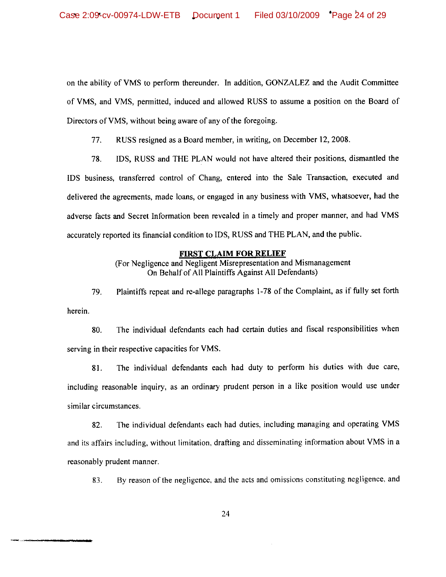on the ability of VMS to perform thereunder. In addition, GONZALEZ and the Audit Committee of VMS, and VMS, permitted, induced and allowed RUSS to assume a position on the Board of Directors of VMS, without being aware of any of the foregoing.

77. RUSS resigned as a Board member, in writing, on December 12, 2008.

78. IDS, RUSS and THE PLAN would not have altered their positions, dismantled the IDS business, transferred control of Chang, entered into the Sale Transaction, executed and delivered the agreements, made loans, or engaged in any business with VMS, whatsoever, had the adverse facts and Secret Information been revealed in a timely and proper manner, and had VMS accurately reported its financial condition to IDS, RUSS and THE PLAN, and the public.

#### **FIRST CLAIM FOR RELIEF**

(For Negligence and Negligent Misrepresentation and Mismanagement On Behalf of All Plaintiffs Against All Defendants)

Plaintiffs repeat and re-allege paragraphs 1-78 of the Complaint, as if fully set forth 79. herein.

The individual defendants each had certain duties and fiscal responsibilities when 80. serving in their respective capacities for VMS.

The individual defendants each had duty to perform his duties with due care, 81. including reasonable inquiry, as an ordinary prudent person in a like position would use under similar circumstances.

The individual defendants each had duties, including managing and operating VMS 82. and its affairs including, without limitation, drafting and disseminating information about VMS in a reasonably prudent manner.

By reason of the negligence, and the acts and omissions constituting negligence, and 83.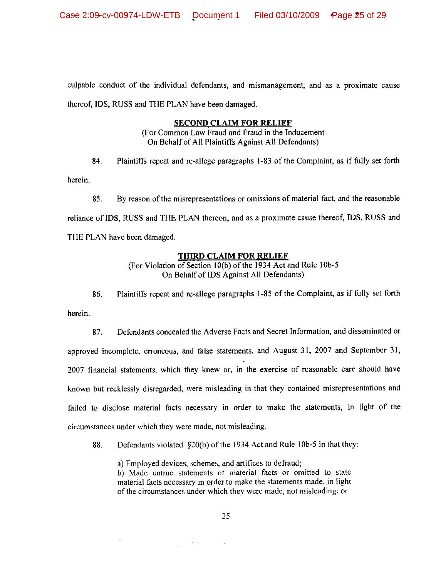culpable conduct of the individual defendants, and mismanagement, and as a proximate cause thereof, IDS, RUSS and THE PLAN have been damaged.

## **SECOND CLAIM FOR RELIEF**

(For Common Law Fraud and Fraud in the Inducement On Behalf of All Plaintiffs Against All Defendants)

Plaintiffs repeat and re-allege paragraphs 1-83 of the Complaint, as if fully set forth 84.

herein.

By reason of the misrepresentations or omissions of material fact, and the reasonable 85. reliance of IDS, RUSS and THE PLAN thereon, and as a proximate cause thereof, IDS, RUSS and THE PLAN have been damaged.

## **THIRD CLAIM FOR RELIEF**

(For Violation of Section 10(b) of the 1934 Act and Rule 10b-5 On Behalf of IDS Against All Defendants)

Plaintiffs repeat and re-allege paragraphs 1-85 of the Complaint, as if fully set forth 86. herein.

Defendants concealed the Adverse Facts and Secret Information, and disseminated or 87. approved incomplete, erroneous, and false statements, and August 31, 2007 and September 31, 2007 financial statements, which they knew or, in the exercise of reasonable care should have known but recklessly disregarded, were misleading in that they contained misrepresentations and failed to disclose material facts necessary in order to make the statements, in light of the circumstances under which they were made, not misleading.

Defendants violated §20(b) of the 1934 Act and Rule 10b-5 in that they: 88.

a) Employed devices, schemes, and artifices to defraud;

 $\frac{1}{2} \left( \frac{1}{2} \right)^{2} \frac{1}{2} \left( \frac{1}{2} \right)^{2}$ 

b) Made untrue statements of material facts or omitted to state material facts necessary in order to make the statements made, in light of the circumstances under which they were made, not misleading; or

 $\omega$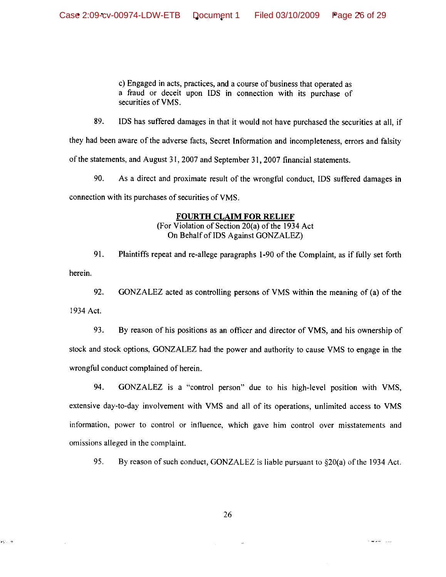c) Engaged in acts, practices, and a course of business that operated as a fraud or deceit upon IDS in connection with its purchase of securities of VMS.

89. IDS has suffered damages in that it would not have purchased the securities at all, if

they had been aware of the adverse facts, Secret Information and incompleteness, errors and falsity of the statements, and August 31, 2007 and September 31, 2007 financial statements.

90. As a direct and proximate result of the wrongful conduct, IDS suffered damages in connection with its purchases of securities of VMS.

## **FOURTH CLAIM FOR RELIEF**

(For Violation of Section 20(a) of the 1934 Act On Behalf of IDS Against GONZALEZ)

91. Plaintiffs repeat and re-allege paragraphs 1-90 of the Complaint, as if fully set forth herein.

92. GONZALEZ acted as controlling persons of VMS within the meaning of (a) of the 1934 Act.

93. By reason of his positions as an officer and director of VMS, and his ownership of stock and stock options, GONZALEZ had the power and authority to cause VMS to engage in the wrongful conduct complained of herein.

94. GONZALEZ is a "control person" due to his high-level position with VMS, extensive day-to-day involvement with VMS and all of its operations, unlimited access to VMS information, power to control or influence, which gave him control over misstatements and omissions alleged in the complaint.

95. By reason of such conduct, GONZALEZ is liable pursuant to  $\S20(a)$  of the 1934 Act.

in co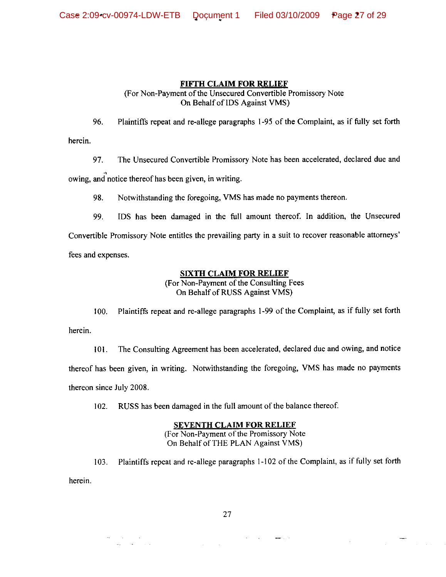# **FIFTH CLAIM FOR RELIEF**

(For Non-Payment of the Unsecured Convertible Promissory Note On Behalf of IDS Against VMS)

96. Plaintiffs repeat and re-allege paragraphs 1-95 of the Complaint, as if fully set forth herein.

97. The Unsecured Convertible Promissory Note has been accelerated, declared due and

owing, and notice thereof has been given, in writing.

 $\label{eq:2.1} \begin{split} \mathcal{L}_{\text{max}}(\mathbf{r}) & = \mathcal{L}_{\text{max}}(\mathbf{r}) \\ \mathcal{L}_{\text{max}}(\mathbf{r}) & = \mathcal{L}_{\text{max}}(\mathbf{r}) \mathcal{L}_{\text{max}}(\mathbf{r}) \end{split}$ 

98. Notwithstanding the foregoing, VMS has made no payments thereon.

99. IDS has been damaged in the full amount thereof. In addition, the Unsecured

Convertible Promissory Note entitles the prevailing party in a suit to recover reasonable attorneys' fees and expenses.

# **SIXTH CLAIM FOR RELIEF**

(For Non-Payment of the Consulting Fees On Behalf of RUSS Against VMS)

Plaintiffs repeat and re-allege paragraphs 1-99 of the Complaint, as if fully set forth 100. herein.

The Consulting Agreement has been accelerated, declared due and owing, and notice 101. thereof has been given, in writing. Notwithstanding the foregoing, VMS has made no payments thereon since July 2008.

RUSS has been damaged in the full amount of the balance thereof. 102.

# **SEVENTH CLAIM FOR RELIEF**

(For Non-Payment of the Promissory Note On Behalf of THE PLAN Against VMS)

Plaintiffs repeat and re-allege paragraphs 1-102 of the Complaint, as if fully set forth  $103.$ herein.

27

 $\frac{1}{2}$  and  $\frac{1}{2}$  .  $\frac{1}{2}$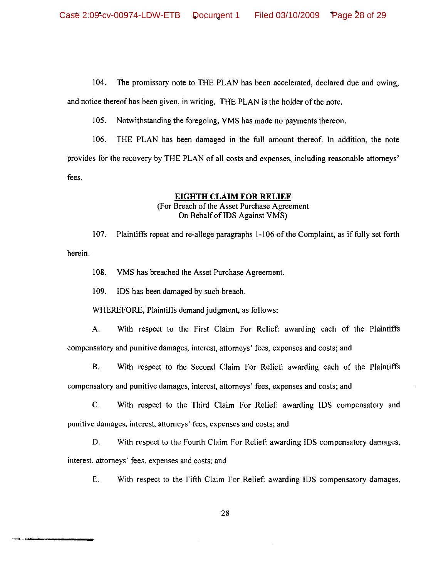104. The promissory note to THE PLAN has been accelerated, declared due and owing,

and notice thereof has been given, in writing. THE PLAN is the holder of the note.

105. Notwithstanding the foregoing, VMS has made no payments thereon.

106. THE PLAN has been damaged in the full amount thereof. In addition, the note provides for the recovery by THE PLAN of all costs and expenses, including reasonable attorneys' fees.

## **EIGHTH CLAIM FOR RELIEF**

# (For Breach of the Asset Purchase Agreement On Behalf of IDS Against VMS)

107. Plaintiffs repeat and re-allege paragraphs 1-106 of the Complaint, as if fully set forth herein.

108. VMS has breached the Asset Purchase Agreement.

109. IDS has been damaged by such breach.

WHEREFORE, Plaintiffs demand judgment, as follows:

With respect to the First Claim For Relief: awarding each of the Plaintiffs A. compensatory and punitive damages, interest, attorneys' fees, expenses and costs; and

В. With respect to the Second Claim For Relief: awarding each of the Plaintiffs

compensatory and punitive damages, interest, attorneys' fees, expenses and costs; and

 $C_{\cdot}$ With respect to the Third Claim For Relief: awarding IDS compensatory and punitive damages, interest, attorneys' fees, expenses and costs; and

D. With respect to the Fourth Claim For Relief: awarding IDS compensatory damages, interest, attorneys' fees, expenses and costs; and

E. With respect to the Fifth Claim For Relief: awarding IDS compensatory damages,